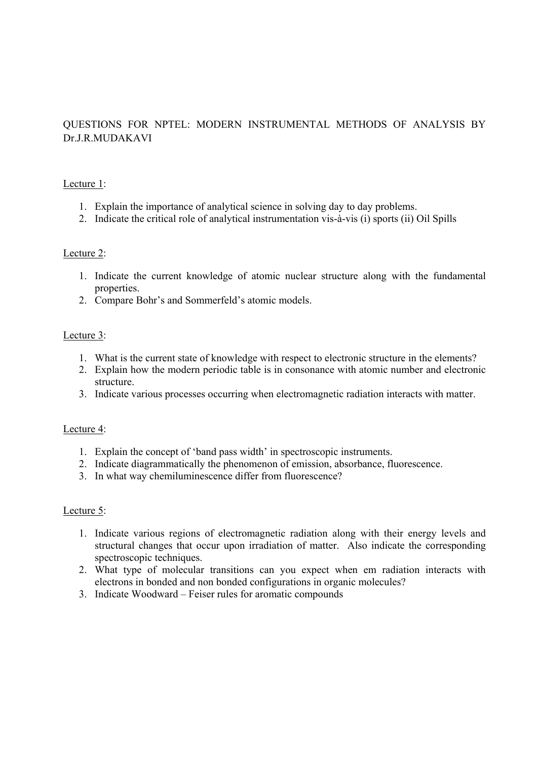# QUESTIONS FOR NPTEL: MODERN INSTRUMENTAL METHODS OF ANALYSIS BY Dr.J.R.MUDAKAVI

### Lecture 1:

- 1. Explain the importance of analytical science in solving day to day problems.
- 2. Indicate the critical role of analytical instrumentation vis-à-vis (i) sports (ii) Oil Spills

## Lecture 2:

- 1. Indicate the current knowledge of atomic nuclear structure along with the fundamental properties.
- 2. Compare Bohr's and Sommerfeld's atomic models.

## Lecture 3:

- 1. What is the current state of knowledge with respect to electronic structure in the elements?
- 2. Explain how the modern periodic table is in consonance with atomic number and electronic structure.
- 3. Indicate various processes occurring when electromagnetic radiation interacts with matter.

### Lecture 4:

- 1. Explain the concept of 'band pass width' in spectroscopic instruments.
- 2. Indicate diagrammatically the phenomenon of emission, absorbance, fluorescence.
- 3. In what way chemiluminescence differ from fluorescence?

### Lecture 5:

- 1. Indicate various regions of electromagnetic radiation along with their energy levels and structural changes that occur upon irradiation of matter. Also indicate the corresponding spectroscopic techniques.
- 2. What type of molecular transitions can you expect when em radiation interacts with electrons in bonded and non bonded configurations in organic molecules?
- 3. Indicate Woodward Feiser rules for aromatic compounds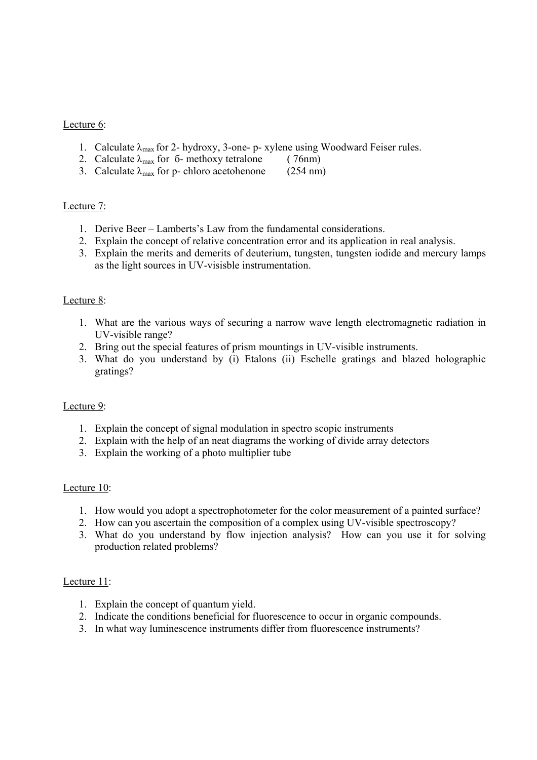### Lecture 6:

- 1. Calculate  $\lambda_{\text{max}}$  for 2- hydroxy, 3-one- p- xylene using Woodward Feiser rules.
- 2. Calculate  $\lambda_{\text{max}}$  for 6- methoxy tetralone (76nm)
- 3. Calculate  $\lambda_{\text{max}}$  for p- chloro acetohenone (254 nm)

### Lecture 7:

- 1. Derive Beer Lamberts's Law from the fundamental considerations.
- 2. Explain the concept of relative concentration error and its application in real analysis.
- 3. Explain the merits and demerits of deuterium, tungsten, tungsten iodide and mercury lamps as the light sources in UV-visisble instrumentation.

### Lecture 8:

- 1. What are the various ways of securing a narrow wave length electromagnetic radiation in UV-visible range?
- 2. Bring out the special features of prism mountings in UV-visible instruments.
- 3. What do you understand by (i) Etalons (ii) Eschelle gratings and blazed holographic gratings?

### Lecture 9:

- 1. Explain the concept of signal modulation in spectro scopic instruments
- 2. Explain with the help of an neat diagrams the working of divide array detectors
- 3. Explain the working of a photo multiplier tube

### Lecture 10:

- 1. How would you adopt a spectrophotometer for the color measurement of a painted surface?
- 2. How can you ascertain the composition of a complex using UV-visible spectroscopy?
- 3. What do you understand by flow injection analysis? How can you use it for solving production related problems?

### Lecture 11:

- 1. Explain the concept of quantum yield.
- 2. Indicate the conditions beneficial for fluorescence to occur in organic compounds.
- 3. In what way luminescence instruments differ from fluorescence instruments?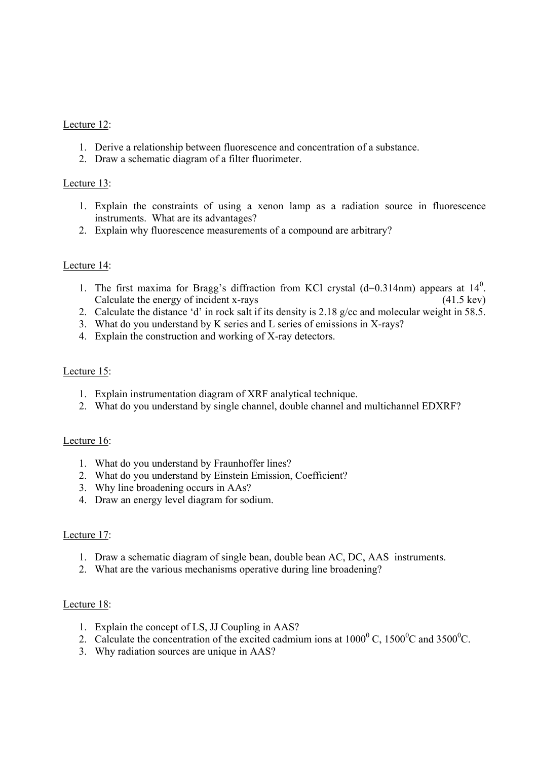### Lecture 12:

- 1. Derive a relationship between fluorescence and concentration of a substance.
- 2. Draw a schematic diagram of a filter fluorimeter.

## Lecture 13:

- 1. Explain the constraints of using a xenon lamp as a radiation source in fluorescence instruments. What are its advantages?
- 2. Explain why fluorescence measurements of a compound are arbitrary?

## Lecture 14:

- 1. The first maxima for Bragg's diffraction from KCl crystal  $(d=0.314nm)$  appears at  $14<sup>0</sup>$ . Calculate the energy of incident x-rays (41.5 kev)
- 2. Calculate the distance 'd' in rock salt if its density is 2.18 g/cc and molecular weight in 58.5.
- 3. What do you understand by K series and L series of emissions in X-rays?
- 4. Explain the construction and working of X-ray detectors.

### Lecture 15:

- 1. Explain instrumentation diagram of XRF analytical technique.
- 2. What do you understand by single channel, double channel and multichannel EDXRF?

### Lecture 16:

- 1. What do you understand by Fraunhoffer lines?
- 2. What do you understand by Einstein Emission, Coefficient?
- 3. Why line broadening occurs in AAs?
- 4. Draw an energy level diagram for sodium.

### Lecture 17:

- 1. Draw a schematic diagram of single bean, double bean AC, DC, AAS instruments.
- 2. What are the various mechanisms operative during line broadening?

### Lecture 18:

- 1. Explain the concept of LS, JJ Coupling in AAS?
- 2. Calculate the concentration of the excited cadmium ions at  $1000^{\circ}$  C,  $1500^{\circ}$ C and  $3500^{\circ}$ C.
- 3. Why radiation sources are unique in AAS?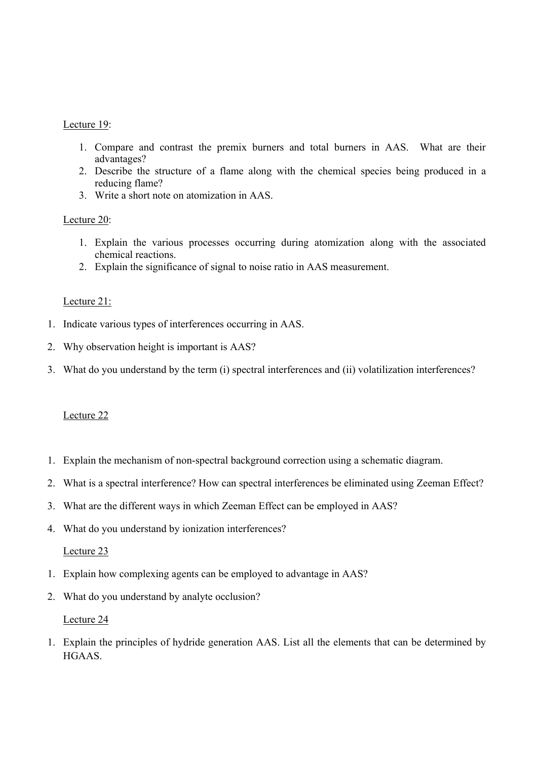### Lecture 19:

- 1. Compare and contrast the premix burners and total burners in AAS. What are their advantages?
- 2. Describe the structure of a flame along with the chemical species being produced in a reducing flame?
- 3. Write a short note on atomization in AAS.

## Lecture 20:

- 1. Explain the various processes occurring during atomization along with the associated chemical reactions.
- 2. Explain the significance of signal to noise ratio in AAS measurement.

## Lecture 21:

- 1. Indicate various types of interferences occurring in AAS.
- 2. Why observation height is important is AAS?
- 3. What do you understand by the term (i) spectral interferences and (ii) volatilization interferences?

### Lecture 22

- 1. Explain the mechanism of non-spectral background correction using a schematic diagram.
- 2. What is a spectral interference? How can spectral interferences be eliminated using Zeeman Effect?
- 3. What are the different ways in which Zeeman Effect can be employed in AAS?
- 4. What do you understand by ionization interferences?

## Lecture 23

- 1. Explain how complexing agents can be employed to advantage in AAS?
- 2. What do you understand by analyte occlusion?

### Lecture 24

1. Explain the principles of hydride generation AAS. List all the elements that can be determined by HGAAS.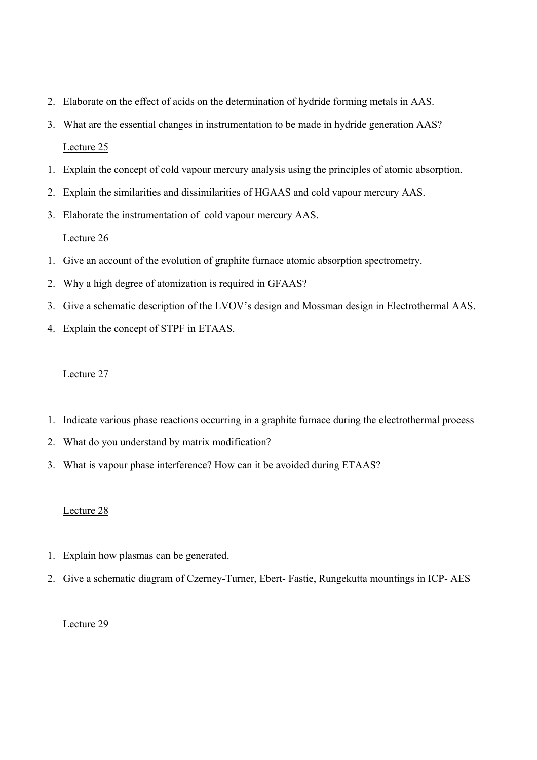- 2. Elaborate on the effect of acids on the determination of hydride forming metals in AAS.
- 3. What are the essential changes in instrumentation to be made in hydride generation AAS? Lecture 25
- 1. Explain the concept of cold vapour mercury analysis using the principles of atomic absorption.
- 2. Explain the similarities and dissimilarities of HGAAS and cold vapour mercury AAS.
- 3. Elaborate the instrumentation of cold vapour mercury AAS.

- 1. Give an account of the evolution of graphite furnace atomic absorption spectrometry.
- 2. Why a high degree of atomization is required in GFAAS?
- 3. Give a schematic description of the LVOV's design and Mossman design in Electrothermal AAS.
- 4. Explain the concept of STPF in ETAAS.

#### Lecture 27

- 1. Indicate various phase reactions occurring in a graphite furnace during the electrothermal process
- 2. What do you understand by matrix modification?
- 3. What is vapour phase interference? How can it be avoided during ETAAS?

### Lecture 28

- 1. Explain how plasmas can be generated.
- 2. Give a schematic diagram of Czerney-Turner, Ebert- Fastie, Rungekutta mountings in ICP- AES

### Lecture 29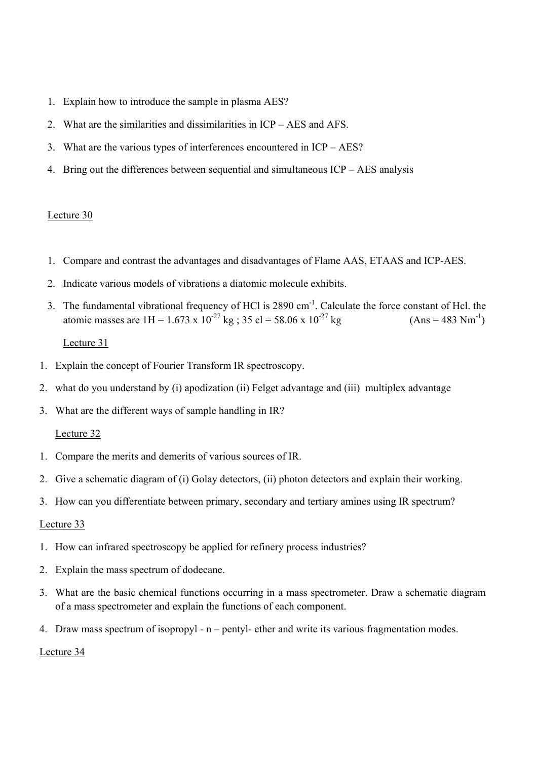- 1. Explain how to introduce the sample in plasma AES?
- 2. What are the similarities and dissimilarities in ICP AES and AFS.
- 3. What are the various types of interferences encountered in ICP AES?
- 4. Bring out the differences between sequential and simultaneous ICP AES analysis

- 1. Compare and contrast the advantages and disadvantages of Flame AAS, ETAAS and ICP-AES.
- 2. Indicate various models of vibrations a diatomic molecule exhibits.
- 3. The fundamental vibrational frequency of HCl is 2890 cm-1. Calculate the force constant of Hcl. the atomic masses are  $1H = 1.673 \times 10^{-27}$  kg ;  $35 \text{ cl} = 58.06 \times 10^{-27}$  kg (Ans = 483 Nm<sup>-1</sup>)

## Lecture 31

- 1. Explain the concept of Fourier Transform IR spectroscopy.
- 2. what do you understand by (i) apodization (ii) Felget advantage and (iii) multiplex advantage
- 3. What are the different ways of sample handling in IR?

### Lecture 32

- 1. Compare the merits and demerits of various sources of IR.
- 2. Give a schematic diagram of (i) Golay detectors, (ii) photon detectors and explain their working.
- 3. How can you differentiate between primary, secondary and tertiary amines using IR spectrum?

### Lecture 33

- 1. How can infrared spectroscopy be applied for refinery process industries?
- 2. Explain the mass spectrum of dodecane.
- 3. What are the basic chemical functions occurring in a mass spectrometer. Draw a schematic diagram of a mass spectrometer and explain the functions of each component.
- 4. Draw mass spectrum of isopropyl n pentyl- ether and write its various fragmentation modes.

Lecture 34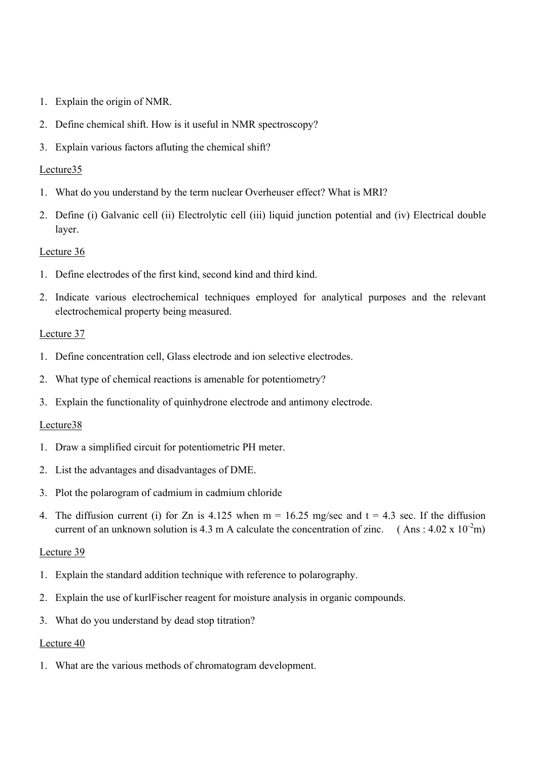- 1. Explain the origin of NMR.
- 2. Define chemical shift. How is it useful in NMR spectroscopy?
- 3. Explain various factors afluting the chemical shift?

- 1. What do you understand by the term nuclear Overheuser effect? What is MRI?
- 2. Define (i) Galvanic cell (ii) Electrolytic cell (iii) liquid junction potential and (iv) Electrical double layer.

## Lecture 36

- 1. Define electrodes of the first kind, second kind and third kind.
- 2. Indicate various electrochemical techniques employed for analytical purposes and the relevant electrochemical property being measured.

### Lecture 37

- 1. Define concentration cell, Glass electrode and ion selective electrodes.
- 2. What type of chemical reactions is amenable for potentiometry?
- 3. Explain the functionality of quinhydrone electrode and antimony electrode.

## Lecture38

- 1. Draw a simplified circuit for potentiometric PH meter.
- 2. List the advantages and disadvantages of DME.
- 3. Plot the polarogram of cadmium in cadmium chloride
- 4. The diffusion current (i) for Zn is  $4.125$  when m = 16.25 mg/sec and t = 4.3 sec. If the diffusion current of an unknown solution is 4.3 m A calculate the concentration of zinc. (Ans:  $4.02 \times 10^{-2}$ m)

### Lecture 39

- 1. Explain the standard addition technique with reference to polarography.
- 2. Explain the use of kurlFischer reagent for moisture analysis in organic compounds.
- 3. What do you understand by dead stop titration?

### Lecture 40

1. What are the various methods of chromatogram development.